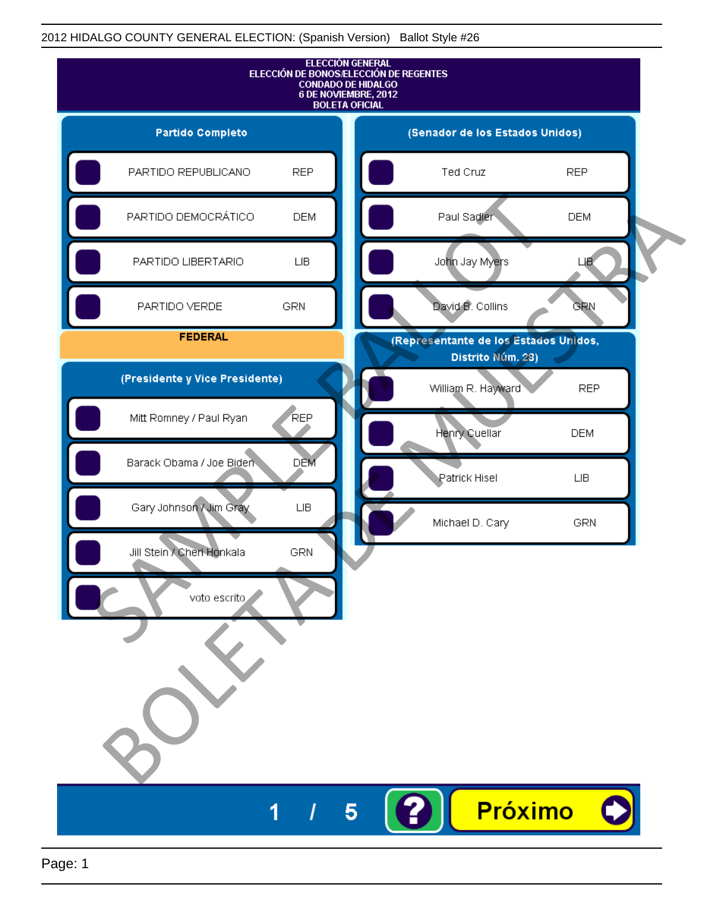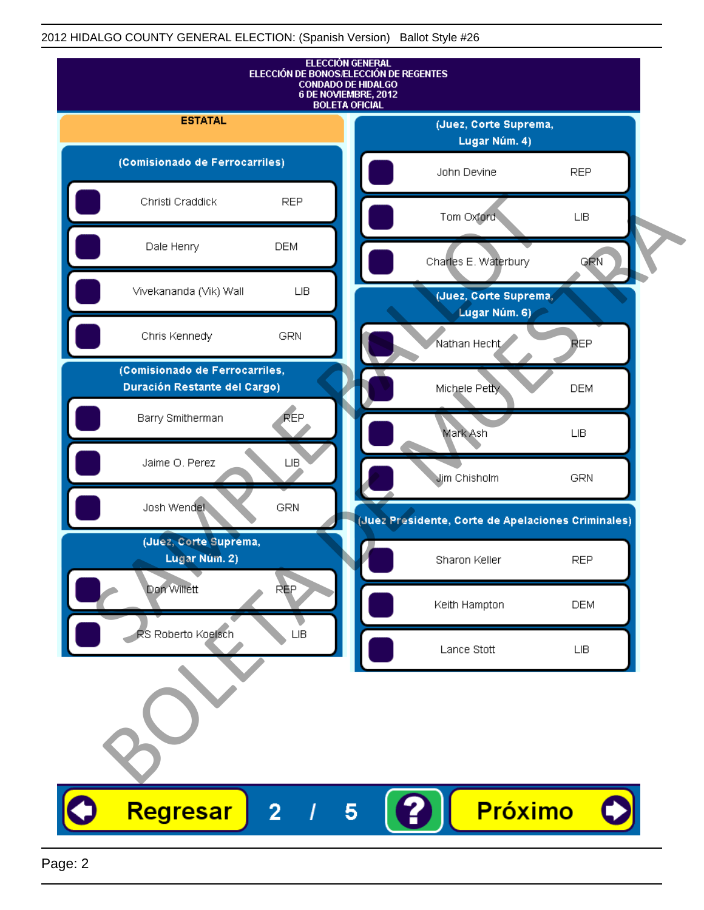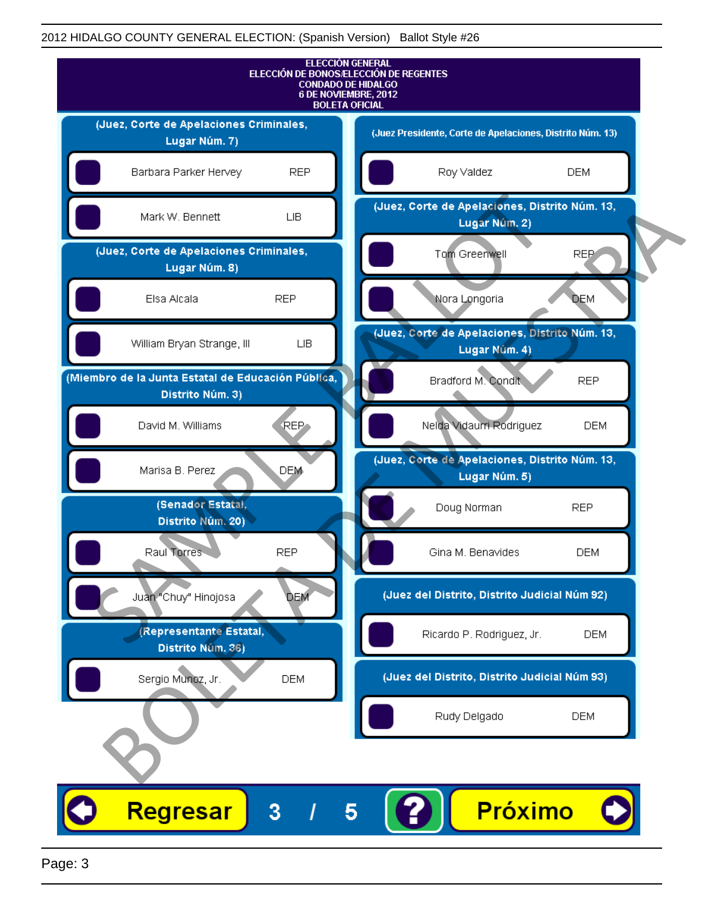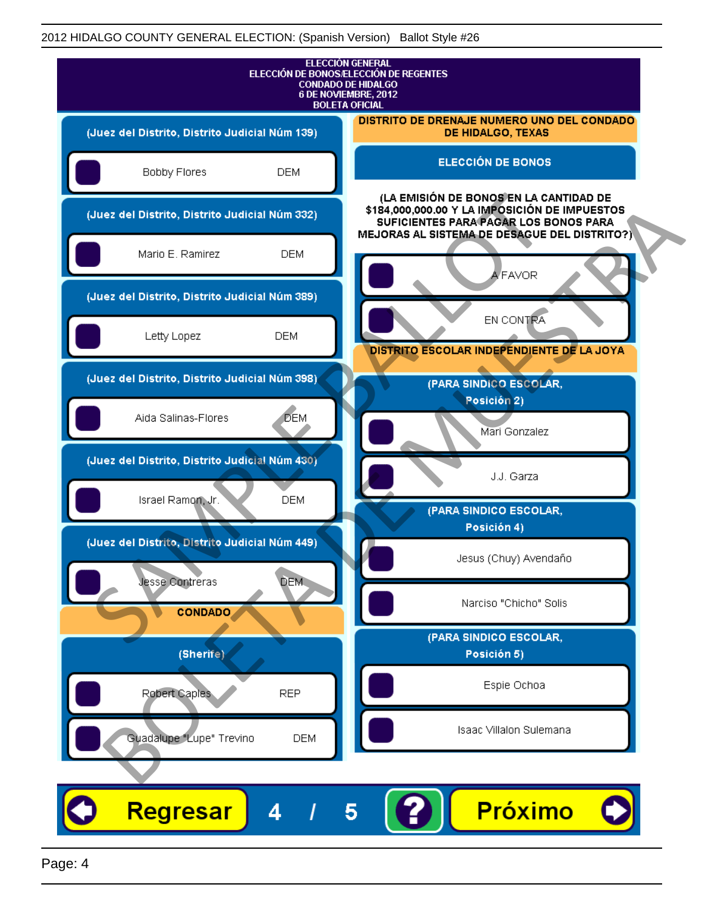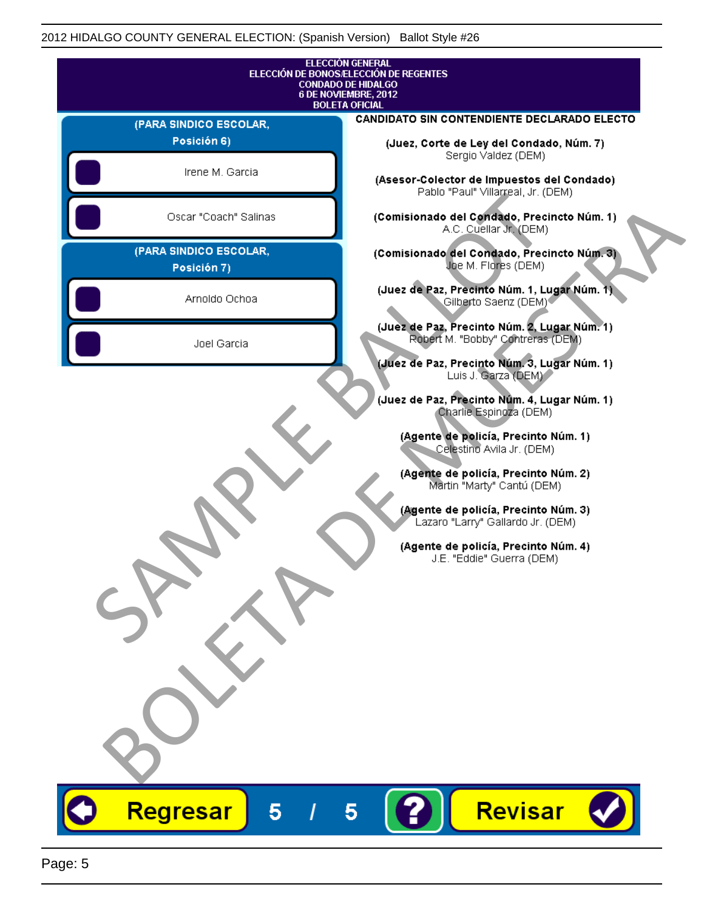|                                       | <b>ELECCIÓN GENERAL</b><br>ELECCIÓN DE BONOS/ELECCIÓN DE REGENTES<br><b>CONDADO DE HIDALGO</b>                                                                                                                                                                                                                                                                                             |
|---------------------------------------|--------------------------------------------------------------------------------------------------------------------------------------------------------------------------------------------------------------------------------------------------------------------------------------------------------------------------------------------------------------------------------------------|
|                                       | 6 DE NOVIEMBRE, 2012<br><b>BOLETA OFICIAL</b>                                                                                                                                                                                                                                                                                                                                              |
| (PARA SINDICO ESCOLAR,                | CANDIDATO SIN CONTENDIENTE DECLARADO ELECTO                                                                                                                                                                                                                                                                                                                                                |
| Posición 6)                           | (Juez, Corte de Ley del Condado, Núm. 7)                                                                                                                                                                                                                                                                                                                                                   |
| Irene M. Garcia                       | Sergio Valdez (DEM)<br>(Asesor-Colector de Impuestos del Condado)<br>Pablo "Paul" Villarreal, Jr. (DEM)                                                                                                                                                                                                                                                                                    |
| Oscar "Coach" Salinas                 | (Comisionado del Condado, Precincto Núm. 1)<br>A.C. Cuellar Jr. (DEM)                                                                                                                                                                                                                                                                                                                      |
| (PARA SINDICO ESCOLAR,<br>Posición 7) | (Comisionado del Condado, Precincto Núm. 3)<br>Joe M. Flores (DEM)                                                                                                                                                                                                                                                                                                                         |
| Arnoldo Ochoa                         | (Juez de Paz, Precinto Núm. 1, Lugar Núm. 1)<br>Gilberto Saenz (DEM) <sup>®</sup>                                                                                                                                                                                                                                                                                                          |
| Joel Garcia                           | (Juez de Paz, Precinto Núm. 2, Lugar Núm. 1)<br>Robert M. "Bobby" Contreras (DEM)<br>(Juez de Paz, Precinto Núm. 3, Lugar Núm. 1)                                                                                                                                                                                                                                                          |
|                                       | Luis J. Garza (DEM)<br>(Juez de Paz, Precinto Núm. 4, Lugar Núm. 1)<br>Charlie Espingza (DEM)<br>(Agente de policía, Precinto Núm. 1)<br>Celestino Avila Jr. (DEM)<br>(Agente de policía, Precinto Núm. 2)<br>Martin "Marty" Cantú (DEM)<br>(Agente de policía, Precinto Núm. 3)<br>Lazaro "Larry" Gallardo Jr. (DEM)<br>(Agente de policía, Precinto Núm. 4)<br>J.E. "Eddie" Guerra (DEM) |
|                                       |                                                                                                                                                                                                                                                                                                                                                                                            |
| Regresar<br>5                         | Revisar<br>5                                                                                                                                                                                                                                                                                                                                                                               |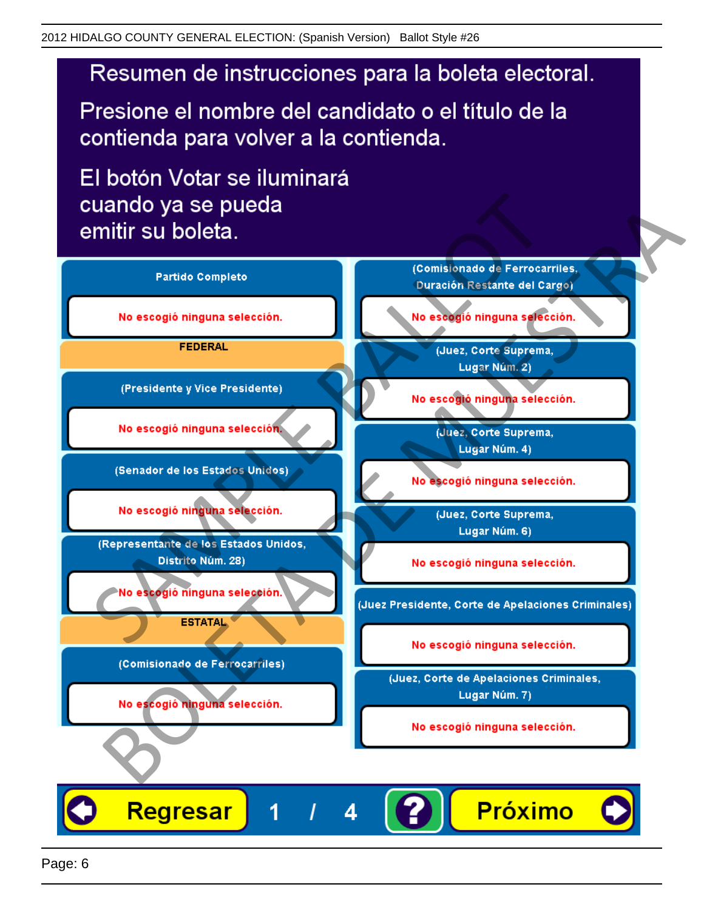Presione el nombre del candidato o el título de la contienda para volver a la contienda.

El botón Votar se iluminará

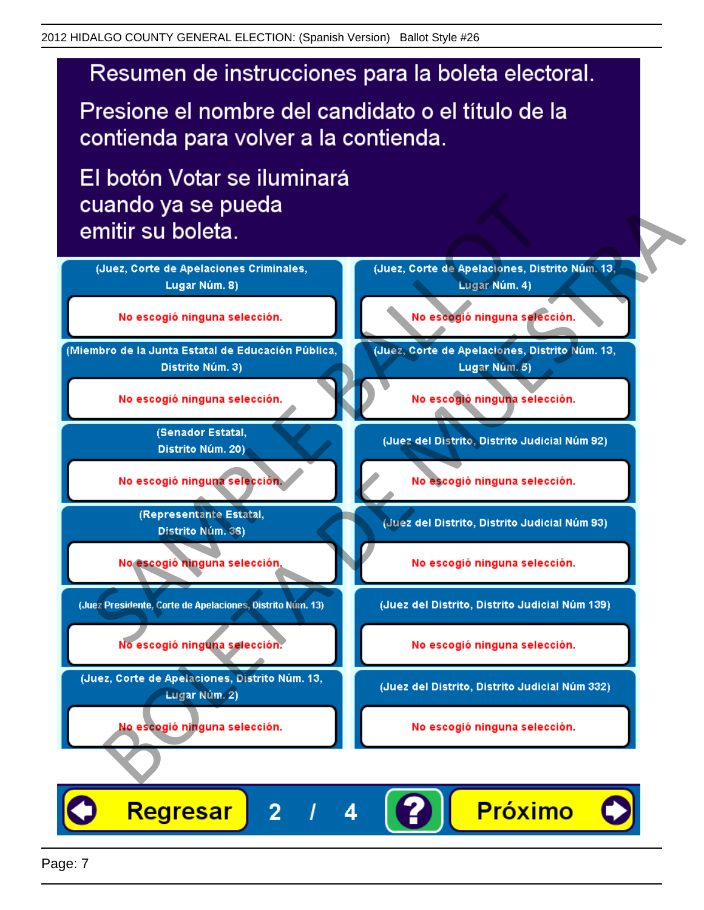Presione el nombre del candidato o el título de la contienda para volver a la contienda.

El botón Votar se iluminará



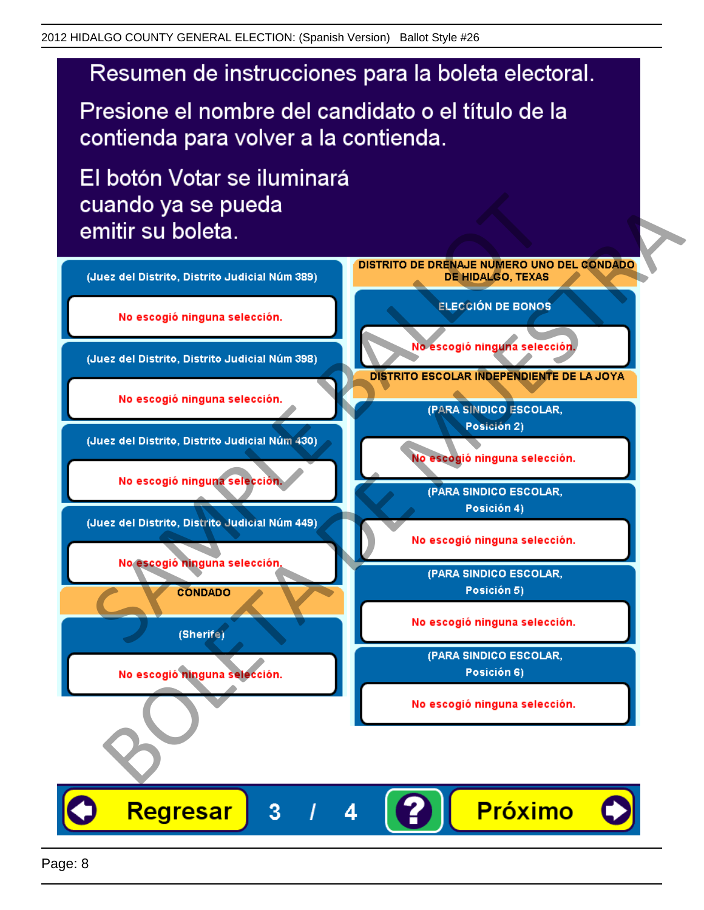Presione el nombre del candidato o el título de la contienda para volver a la contienda.

El botón Votar se iluminará